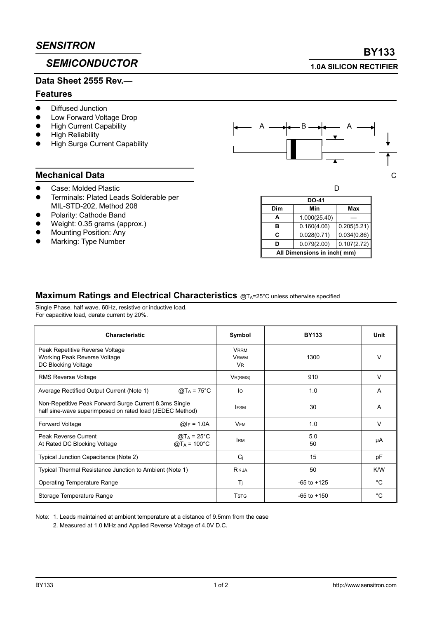# **SEMICONDUCTOR**

## Data Sheet 2555 Rev.

#### **Features**

- Diffused Junction
- Low Forward Voltage Drop
- **High Current Capability**
- **High Reliability**
- **High Surge Current Capability**

## **Mechanical Data**

- Case: Molded Plastic
- Terminals: Plated Leads Solderable per MIL-STD-202. Method 208
- Polarity: Cathode Band
- Weight: 0.35 grams (approx.)
- **Mounting Position: Any**
- Marking: Type Number



| <b>DO-41</b>               |              |             |  |
|----------------------------|--------------|-------------|--|
| Dim                        | Min          | Max         |  |
| A                          | 1.000(25.40) |             |  |
| в                          | 0.160(4.06)  | 0.205(5.21) |  |
| C                          | 0.028(0.71)  | 0.034(0.86) |  |
| n                          | 0.079(2.00)  | 0.107(2.72) |  |
| All Dimensions in inch(mm) |              |             |  |

### Maximum Ratings and Electrical Characteristics @TA=25°C unless otherwise specified

Single Phase, half wave, 60Hz, resistive or inductive load. For capacitive load, derate current by 20%.

| <b>Characteristic</b>                                                                                              | Symbol                                  | <b>BY133</b>    | Unit        |
|--------------------------------------------------------------------------------------------------------------------|-----------------------------------------|-----------------|-------------|
| Peak Repetitive Reverse Voltage<br>Working Peak Reverse Voltage<br>DC Blocking Voltage                             | <b>VRRM</b><br><b>VRWM</b><br><b>VR</b> | 1300            | v           |
| <b>RMS Reverse Voltage</b>                                                                                         | $V_{R(RMS)}$                            | 910             | v           |
| Average Rectified Output Current (Note 1)<br>@T <sub>A</sub> = 75°C                                                | lo                                      | 1.0             | A           |
| Non-Repetitive Peak Forward Surge Current 8.3ms Single<br>half sine-wave superimposed on rated load (JEDEC Method) | <b>IFSM</b>                             | 30              | A           |
| <b>Forward Voltage</b><br>@ $I_F = 1.0A$                                                                           | <b>VFM</b>                              | 1.0             | v           |
| <b>Peak Reverse Current</b><br>$@T_A = 25^{\circ}C$<br>$@T_A = 100°C$<br>At Rated DC Blocking Voltage              | <b>IRM</b>                              | 5.0<br>50       | μA          |
| Typical Junction Capacitance (Note 2)                                                                              | Ci                                      | 15              | pF          |
| Typical Thermal Resistance Junction to Ambient (Note 1)                                                            | $R\theta$ JA                            | 50              | K/W         |
| <b>Operating Temperature Range</b>                                                                                 | Tj                                      | $-65$ to $+125$ | $^{\circ}C$ |
| Storage Temperature Range                                                                                          | Tstg                                    | $-65$ to $+150$ | °C.         |

Note: 1. Leads maintained at ambient temperature at a distance of 9.5mm from the case

2. Measured at 1.0 MHz and Applied Reverse Voltage of 4.0V D.C.